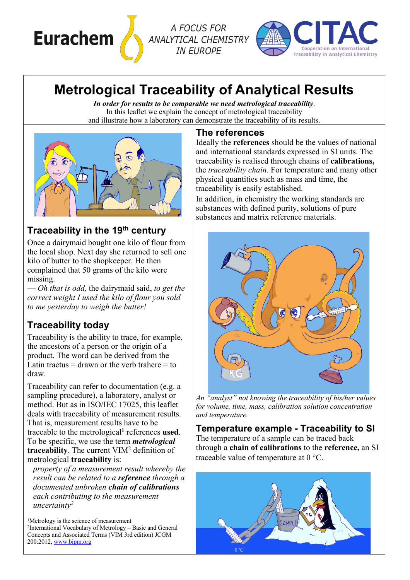

*ANALYTICAL CHEMISTRY IN EUROPE*



# **Metrological Traceability of Analytical Results**

*In order for results to be comparable we need metrological traceability*. In this leaflet we explain the concept of metrological traceability and illustrate how a laboratory can demonstrate the traceability of its results.



#### **Traceability in the 19th century**

Once a dairymaid bought one kilo of flour from the local shop. Next day she returned to sell one kilo of butter to the shopkeeper. He then complained that 50 grams of the kilo were missing.

— *Oh that is odd,* the dairymaid said, *to get the correct weight I used the kilo of flour you sold to me yesterday to weigh the butter!*

## **Traceability today**

Traceability is the ability to trace, for example, the ancestors of a person or the origin of a product. The word can be derived from the Latin tractus  $=$  drawn or the verb trahere  $=$  to draw.

Traceability can refer to documentation (e.g. a sampling procedure), a laboratory, analyst or method. But as in ISO/IEC 17025, this leaflet deals with traceability of measurement results. That is, measurement results have to be traceable to the metrological**<sup>1</sup>** references **used**. To be specific, we use the term *metrological* **traceability**. The current VIM2 definition of metrological **traceability** is:

*property of a measurement result whereby the result can be related to a reference through a documented unbroken chain of calibrations each contributing to the measurement uncertainty2*

<sup>1</sup>Metrology is the science of measurement 2International Vocabulary of Metrology – Basic and General Concepts and Associated Terms (VIM 3rd edition) JCGM  $200:2012$ , www.bipm.org

#### **The references**

Ideally the **references** should be the values of national and international standards expressed in SI units. The traceability is realised through chains of **calibrations,** the *traceability chain*. For temperature and many other physical quantities such as mass and time, the traceability is easily established.

In addition, in chemistry the working standards are substances with defined purity, solutions of pure substances and matrix reference materials.



*An "analyst" not knowing the traceability of his/her values for volume, time, mass, calibration solution concentration and temperature.*

**Temperature example - Traceability to SI** The temperature of a sample can be traced back through a **chain of calibrations** to the **reference,** an SI traceable value of temperature at 0 °C.